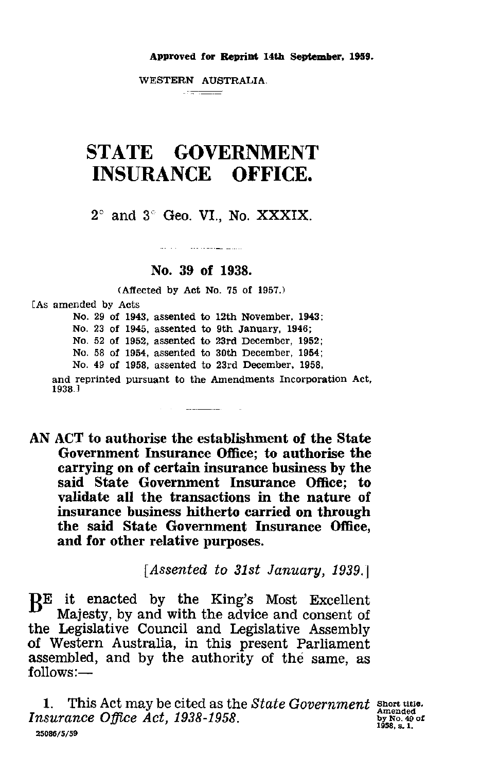### **Approved for Reprint 14th September, 1959.**

WESTERN AUSTRALIA. 

# STATE GOVERNMENT INSURANCE OFFICE.

 $2^{\circ}$  and  $3^{\circ}$  Geo. VI., No. XXXIX.

## **No. 39 of 1938.**

and the company of the company of the

(Affected by Act No. 75 of 1957.)

[As amended by Acts

No. 29 of 1943, assented to 12th November, 1943; No. 23 of 1945, assented to 9th January, 1948; No. 52 of 1952, assented to 23rd December, 1952; No. 58 of 1954, assented to 30th December, 1954; No. 49 of 1958, assented to 23rd December, 1958, and reprinted pursuant to the Amendments Incorporation Act, 1938.3

AN ACT to authorise the establishment of the State Government Insurance Office; to authorise the carrying on of certain insurance business by the said State Government Insurance Office; to validate all the transactions in the nature of insurance business hitherto carried on through the said State Government Insurance Office, and for other relative purposes.

and the component of the

*[Assented to 31st January, 19391*

 $B<sup>E</sup>$  it enacted by the King's Most Excellent<br>Maissty by and with the advice and consent of Majesty, by and with the advice and consent of the Legislative Council and Legislative Assembly of Western Australia, in this present Parliament assembled, and by the authority of the same, *as* follows:—

1. This Act may be cited as the *State Government* short title. *Insurance Office Act, 1938-1958.* 25088/5/59

by No. 49 of 1958, S. 1.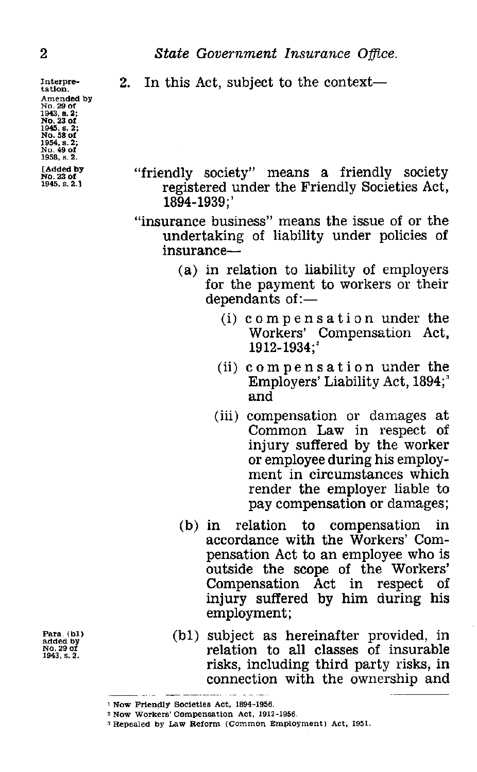Interpretation. Amended by No. 29 of 1943, a. 2; No. 23 of 1945, s. 2; No. 58 of 1954, s. 2; No. 49 of 1958, s. 2.

[Added by No. 23 of 1945, s. 2.1

2<br> **State Government Insurance Office.**<br>
Interpretation.<br> **2.** In this Act, subject to the context—<br>
No. 29 of 2. In this Act, subject to the context

> "friendly society" means a friendly society registered under the Friendly Societies Act, 1894-1939;'

> "insurance business" means the issue of or the undertaking of liability under policies of insurance

- (a) in relation to liability of employers for the payment to workers or their dependants of :—
	- (i) compensation under the Workers' Compensation Act, 1912-1934;
	- (ii) compensation under the Employers' Liability Act, 1894;' and
	- (iii) compensation or damages at Common Law in respect of injury suffered by the worker or employee during his employment in circumstances which render the employer liable to pay compensation or damages;
- (b) in relation to compensation in accordance with the Workers' Compensation Act to an employee who is outside the scope of the Workers'<br>Compensation Act in respect of Compensation Act in injury suffered by him during his employment;
- (bl) subject as hereinafter provided, in relation to all classes of insurable risks, including third party risks, in connection with the ownership and

Para (bl) added by No. 29 of 1943, s. 2.

I Now Friendly Societies Act, 1894-1958.

<sup>&</sup>lt;sup>2</sup> Now Workers' Compensation Act, 1912-1956.

<sup>3</sup> Repealed by Law Reform (Common Employment) Act, 1951.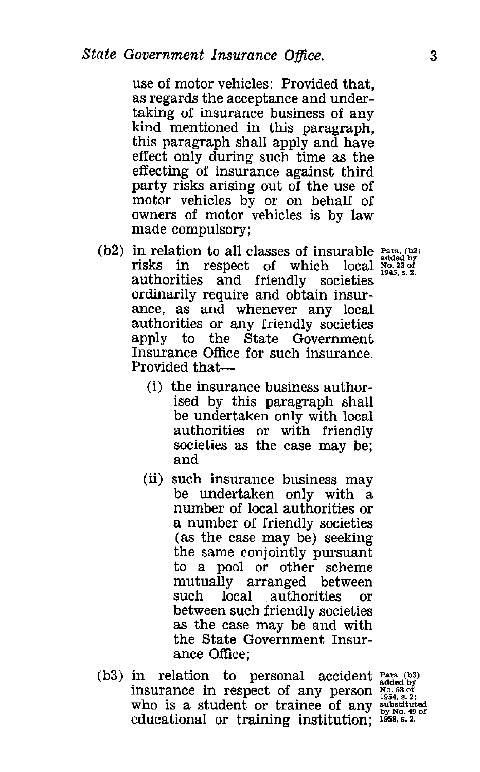use of motor vehicles: Provided that, as regards the acceptance and undertaking of insurance business of any kind mentioned in this paragraph, this paragraph shall apply and have effect only during such time as the effecting of insurance against third party risks arising out of the use of motor vehicles by or on behalf of owners of motor vehicles is by law made compulsory;

- (b2) in relation to all classes of insurable  $_{\text{added by}}^{\text{Para. (b2)}}$ risks in respect of which local  $\frac{100023}{1945.821}$ authorities and friendly societies ordinarily require and obtain insurance, as and whenever any local authorities or any friendly societies apply to the State Government Insurance Office for such insurance. Provided that-
	- (i) the insurance business authorised by this paragraph shall be undertaken only with local authorities or with friendly societies as the case may be; and
	- (ii) such insurance business may be undertaken only with a number of local authorities or a number of friendly societies (as the case may be) seeking the same conjointly pursuant to a pool or other scheme mutually arranged between such local authorities or between such friendly societies as the case may be and with the State Government Insurance Office;
- $(b3)$  in relation to personal accident  $P_{added by}$ insurance in respect of any person who is a student or trainee of any educational or training institution; 1958, s. 2.

added by No. 58 of 1959, s. 2; substituted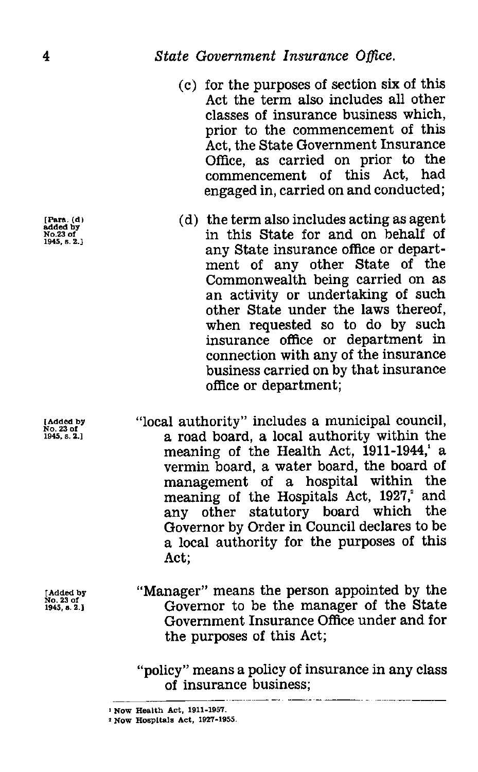- 4 State Government Insurance Office.<br>
(c) for the purposes of section six<br>
Act the term also includes a (c) for the purposes of section six of this Act the term also includes all other classes of insurance business which, prior to the commencement of this Act, the State Government Insurance Office, as carried on prior to the commencement of this Act, had engaged in, carried on and conducted;
	- (d) the term also includes acting *as* agent in this State for and on behalf of any State insurance office or department of any other State of the Commonwealth being carried on as an activity or undertaking of such other State under the laws thereof, when requested so to do by such insurance office or department in connection with any of the insurance business carried on by that insurance office or department;
	- "local authority" includes a municipal council, a road board, a local authority within the meaning of the Health Act, 1911-1944, a vermin board, a water board, the board of management of a hospital within the meaning of the Hospitals Act, 1927,<sup>2</sup> and any other statutory board which the Governor by Order in Council declares to be a local authority for the purposes of this Act;
	- "Manager" means the person appointed by the Governor to be the manager of the State Government Insurance Office under and for the purposes of this Act;

"policy" means a policy of insurance in any class of insurance business;

[Para. (d) added by No.23 of 1945, s. 2.1

[Added by No. 23 of 1945, s. 2.1

[Added by No. 23 of 1945, a. 2.1

I Now Health Act, 1911-1957.

<sup>2</sup> Now Hospitals Act, 1927-1955.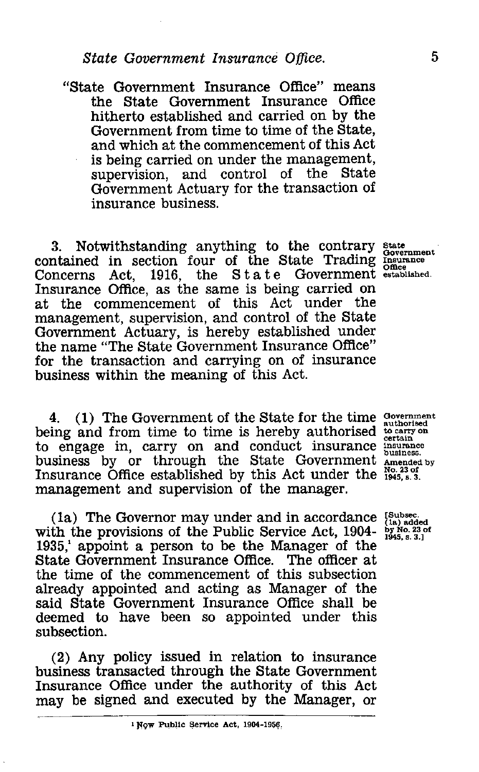*State Government Insurance Office.* 5<br>
ate Government Insurance Office" means<br>
the State Government Insurance Office<br>
bith the bith and seminal on by the "State Government Insurance Office" means the State Government Insurance Office hitherto established and carried on by the Government from time to time of the State, and which at the commencement of this Act is being carried on under the management, supervision, and control of the State Government Actuary for the transaction of insurance business.

3. Notwithstanding anything to the contrary contained in section four of the State Trading Concerns Act, 1916, the State Government Concerns Act, 1916, the State Government established.<br>Insurance Office, as the same is being carried on at the commencement of this Act under the management, supervision, and control of the State Government Actuary, is hereby established under the name "The State Government Insurance Office" for the transaction and carrying on of insurance business within the meaning of this Act.

4. (1) The Government of the State for the time being and from time to time is hereby authorised to engage in, carry on and conduct insurance business by or through the State Government Amended by Insurance Office established by this Act under the  $\frac{No. 23 of}{1945, s. 3.}$ management and supervision of the manager.

( la) The Governor may under and in accordance with the provisions of the Public Service Act, 1904- 1935,' appoint a person to be the Manager of the State Government Insurance Office. The officer at the time of the commencement of this subsection already appointed and acting as Manager of the said State Government Insurance Office shall be deemed to have been so appointed under this subsection.

(2) Any policy issued in relation to insurance business transacted through the State Government Insurance Office under the authority of this Act may be signed and executed by the Manager, or

State Government Insurance Office established.

Government authorised to carry on certain insurance business.

[subset. (la) added by No. 23 of 1945, s.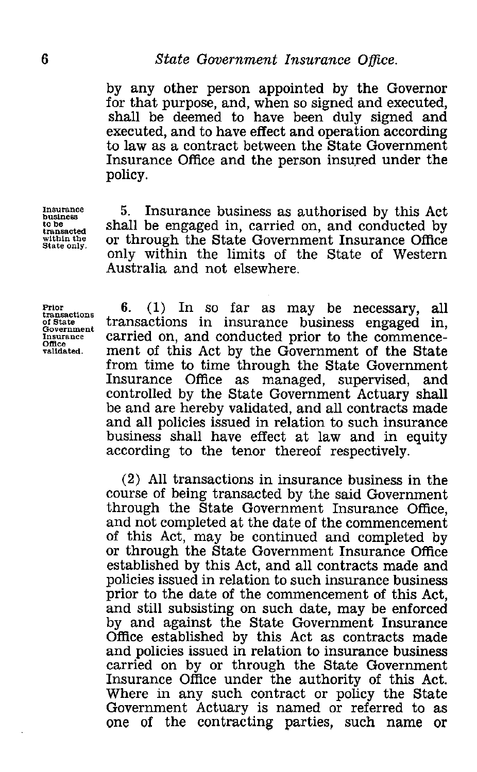by any other person appointed by the Governor for that purpose, and, when so signed and executed, shall be deemed to have been duly signed and executed, and to have effect and operation according to law as a contract between the State Government Insurance Office and the person insured under the policy.

**Insurance business to be transacted within the State only.**

5. Insurance business as authorised by this Act shall be engaged in, carried on, and conducted by or through the State Government Insurance Office only within the limits of the State of Western Australia and not elsewhere.

**Prior transactions of State Government Insurance Office validated.**

6. (1) In so far as may be necessary, all transactions in insurance business engaged carried on, and conducted prior to the commencement of this Act by the Government of the State from time to time through the State Government<br>Insurance Office as managed, supervised, and as managed, supervised, and controlled by the State Government Actuary shall be and are hereby validated, and all contracts made and all policies issued in relation to such insurance business shall have effect at law and in equity according to the tenor thereof respectively.

(2) All transactions in insurance business in the course of being transacted by the said Government through the State Government Insurance Office, and not completed at the date of the commencement of this Act, may be continued and completed by or through the State Government Insurance Office established by this Act, and all contracts made and policies issued in relation to such insurance business prior to the date of the commencement of this Act, and still subsisting on such date, may be enforced by and against the State Government Insurance Office established by this Act as contracts made and policies issued in relation to insurance business carried on by or through the State Government Insurance Office under the authority of this Act. Where in any such contract or policy the State Government Actuary is named or referred to as One of the contracting parties, such name or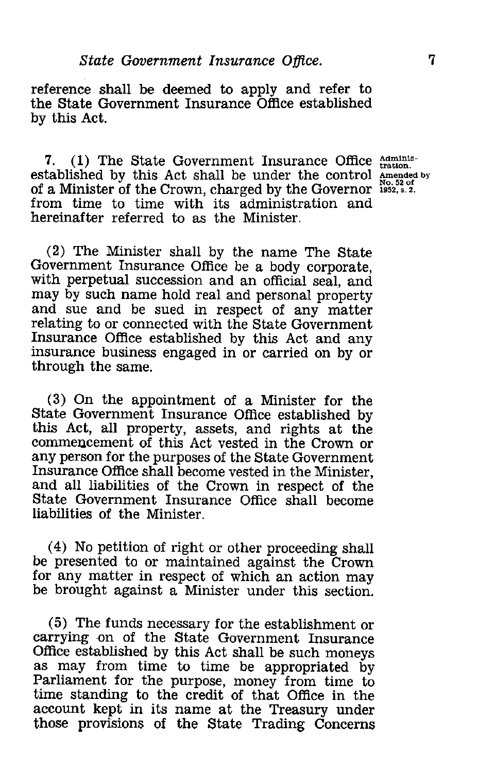*State Government Insurance Office.* 7<br> *Ce shall be deemed to apply and refer to*<br> *Le Government Insurance Office established* reference shall be deemed to apply and refer to the State Government Insurance Office established by this Act.

7. (1) The State Government Insurance Office  $\frac{\text{AdmInis}}{\text{tration}}$ . established by this Act shall be under the control Amended by of a Minister of the Crown, charged by the Governor  $\frac{1}{3}$ from time to time with its administration and hereinafter referred to as the Minister.

(2) The Minister shall by the name The State Government Insurance Office be a body corporate, with perpetual succession and an official seal, and may by such name hold real and personal property and sue and be sued in respect of any matter relating to or connected with the State Government Insurance Office established by this Act and any insurance business engaged in or carried on by or through the same.

(3) On the appointment of a Minister for the State Government Insurance Office established by this Act, all property, assets, and rights at the commencement of this Act vested in the Crown or any person for the purposes of the State Government Insurance Office shall become vested in the Minister, and all liabilities of the Crown in respect of the State Government Insurance Office shall become liabilities of the Minister.

(4) No petition of right or other proceeding shall be presented to or maintained against the Crown for any matter in respect of which an action may be brought against a Minister under this section.

(5) The funds necessary for the establishment or carrying on of the State Government Insurance Office established by this Act shall be such moneys as may from time to time be appropriated by Parliament for the purpose, money from time to time standing to the credit of that Office in the account kept in its name at the Treasury under those provisions of the State Trading Concerns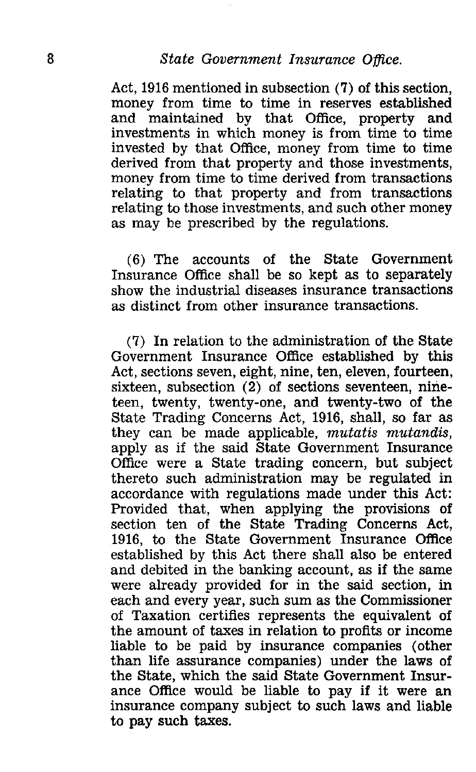8<br>*State Government Insurance Office.*<br>Act, 1916 mentioned in subsection (7) of this<br>money from time to time in reserves esta Act, 1916 mentioned in subsection (7) of this section, money from time to time in reserves established and maintained by that Office, property and investments in which money is from time to time invested by that Office, money from time to time derived from that property and those investments, money from time to time derived from transactions relating to that property and from transactions relating to those investments, and such other money as may be prescribed by the regulations.

> (6) The accounts of the State Government Insurance Office shall be so kept as to separately show the industrial diseases insurance transactions as distinct from other insurance transactions.

> (7) In relation to the administration of the State Government Insurance Office established by this Act, sections seven, eight, nine, ten, eleven, fourteen, sixteen, subsection (2) of sections seventeen, nineteen, twenty, twenty-one, and twenty-two of the State Trading Concerns Act, 1916, shall, so far as they can be made applicable, *mutatis mutandis,* apply as if the said State Government Insurance Office were a State trading concern, but subject thereto such administration may be regulated in accordance with regulations made under this Act: Provided that, when applying the provisions of section ten of the State Trading Concerns Act 1916, to the State Government Insurance Office established by this Act there shall also be entered and debited in the banking account, as if the same were already provided for in the said section, in each and every year, such sum as the Commissioner of Taxation certifies represents the equivalent of the amount of taxes in relation to profits or income liable to be paid by insurance companies (other than life assurance companies) under the laws of the State, which the said State Government Insurance Office would be liable to pay if it were an insurance company subject to such laws and liable to pay such taxes.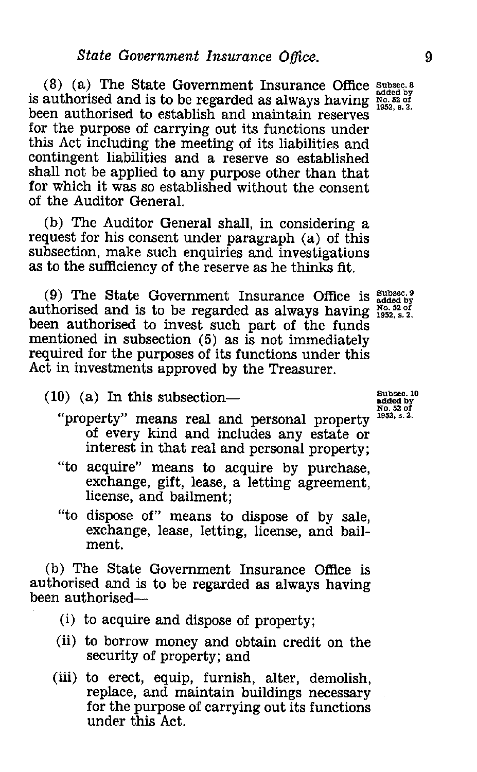(8) (a) The State Government Insurance Office **Subsec. 8** is authorised and is to be regarded as always having No. 52 of been authorised to establish and maintain reserves for the purpose of carrying out its functions under this Act including the meeting of its liabilities and contingent liabilities and a reserve so established shall not be applied to any purpose other than that for which it was so established without the consent of the Auditor General.

(b) The Auditor General shall, in considering a request for his consent under paragraph (a) of this subsection, make such enquiries and investigations as to the sufficiency of the reserve as he thinks fit.

(9) The State Government Insurance Office is **Subsec. 9** (b) The State Government institutive Office is added by<br> **Authorised and is to be regarded as always having**  $\frac{1952}{1952}$ **, s. 2.** been authorised to invest such part of the funds mentioned in subsection (5) as is not immediately required for the purposes of its functions under this Act in investments approved by the Treasurer.

**Subsec. 10 added by No. 52 of 1952, a. 2.**

 $(10)$  (a) In this subsection—

- "property" means real and personal property of every kind and includes any estate or interest in that real and personal property;
- "to acquire" means to acquire by purchase, exchange, gift, lease, a letting agreement, license, and bailment;
- "to dispose of" means to dispose of by sale, exchange, lease, letting, license, and bailment.

(b) The State Government Insurance Office is authorised and is to be regarded as always having been authorised-

- (i) to acquire and dispose of property;
- (ii) to borrow money and obtain credit on the security of property; and
- (iii) to erect, equip, furnish, alter, demolish, replace, and maintain buildings necessary for the purpose of carrying out its functions under this Act.